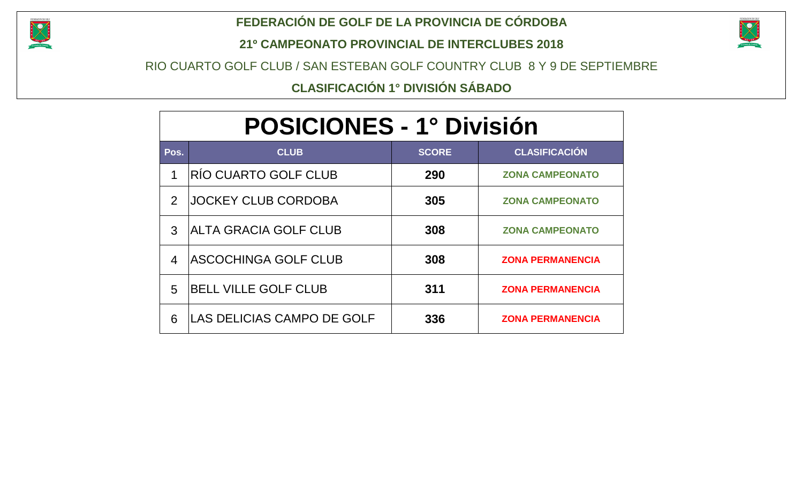

#### **FEDERACIÓN DE GOLF DE LA PROVINCIA DE CÓRDOBA**

**21º CAMPEONATO PROVINCIAL DE INTERCLUBES 2018**



RIO CUARTO GOLF CLUB / SAN ESTEBAN GOLF COUNTRY CLUB 8 Y 9 DE SEPTIEMBRE

**CLASIFICACIÓN 1° DIVISIÓN SÁBADO**

|                         | <b>POSICIONES - 1º División</b> |              |                         |  |  |  |  |  |  |  |  |  |  |  |  |
|-------------------------|---------------------------------|--------------|-------------------------|--|--|--|--|--|--|--|--|--|--|--|--|
| Pos.                    | <b>CLUB</b>                     | <b>SCORE</b> | <b>CLASIFICACIÓN</b>    |  |  |  |  |  |  |  |  |  |  |  |  |
| 1                       | <b>RÍO CUARTO GOLF CLUB</b>     | 290          | <b>ZONA CAMPEONATO</b>  |  |  |  |  |  |  |  |  |  |  |  |  |
| $\overline{2}$          | <b>JOCKEY CLUB CORDOBA</b>      | 305          | <b>ZONA CAMPEONATO</b>  |  |  |  |  |  |  |  |  |  |  |  |  |
| 3                       | IALTA GRACIA GOLF CLUB          | 308          | <b>ZONA CAMPEONATO</b>  |  |  |  |  |  |  |  |  |  |  |  |  |
| $\overline{\mathbf{4}}$ | <b>ASCOCHINGA GOLF CLUB</b>     | 308          | <b>ZONA PERMANENCIA</b> |  |  |  |  |  |  |  |  |  |  |  |  |
| 5                       | <b>BELL VILLE GOLF CLUB</b>     | 311          | <b>ZONA PERMANENCIA</b> |  |  |  |  |  |  |  |  |  |  |  |  |
| 6                       | ILAS DELICIAS CAMPO DE GOLF     | 336          | <b>ZONA PERMANENCIA</b> |  |  |  |  |  |  |  |  |  |  |  |  |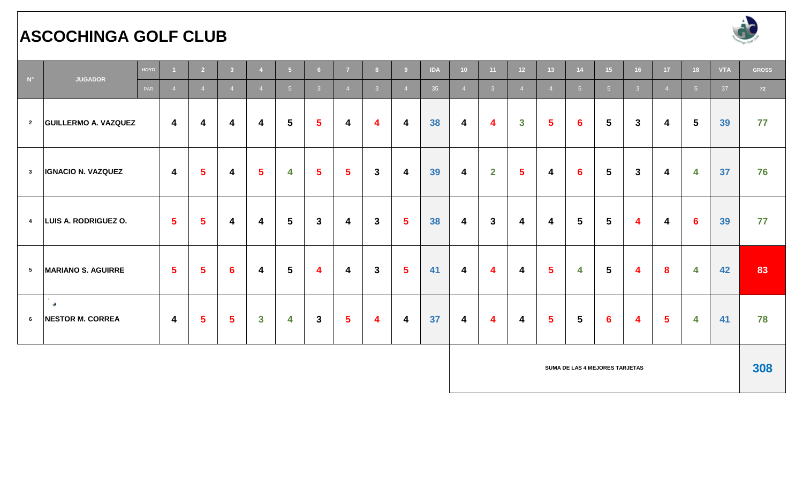### **ASCOCHINGA GOLF CLUB**



| $N^{\circ}$             | <b>JUGADOR</b>                                     | HOYO |                         | $\overline{2}$ | 3 <sup>7</sup> |                         | 5 <sub>5</sub>          | 6 <sup>1</sup>  | $\overline{7}$          | 8              | 9                       | <b>IDA</b> | 10 <sup>°</sup>         | 11                      | 12 <sup>7</sup>         | 13 <sup>°</sup> | 14              | 15 <sup>2</sup> | 16                      | 17 <sup>2</sup> | 18              | <b>VTA</b> | <b>GROSS</b> |
|-------------------------|----------------------------------------------------|------|-------------------------|----------------|----------------|-------------------------|-------------------------|-----------------|-------------------------|----------------|-------------------------|------------|-------------------------|-------------------------|-------------------------|-----------------|-----------------|-----------------|-------------------------|-----------------|-----------------|------------|--------------|
|                         |                                                    | PAR  | $\overline{4}$          | $\overline{4}$ | $\overline{4}$ | $\overline{4}$          | 5 <sup>5</sup>          | 3 <sup>1</sup>  | $\overline{4}$          | 3 <sup>°</sup> | $\overline{4}$          | 35         | $\overline{4}$          | 3 <sup>1</sup>          | $\overline{4}$          | $\overline{4}$  | 5 <sup>1</sup>  | 5 <sup>5</sup>  | 3 <sup>°</sup>          | $\overline{4}$  | 5 <sup>5</sup>  | 37         | 72           |
| $\overline{2}$          | <b>GUILLERMO A. VAZQUEZ</b>                        |      | $\overline{4}$          | 4              | 4              | 4                       | $\overline{\mathbf{5}}$ | $5\phantom{.0}$ | $\overline{\mathbf{4}}$ | 4              | 4                       | 38         | 4                       | 4                       | $\mathbf{3}$            | 5               | $6\phantom{1}6$ | $5\phantom{1}$  | $\mathbf{3}$            | 4               | $5\overline{5}$ | 39         | 77           |
| $\mathbf{3}$            | <b>IGNACIO N. VAZQUEZ</b>                          |      | $\overline{4}$          | $5\phantom{a}$ | 4              | $\sqrt{5}$              | $\overline{\bf 4}$      | $5\phantom{.0}$ | $5\overline{)}$         | $\mathbf{3}$   | 4                       | 39         | $\boldsymbol{4}$        | $\mathbf{2}$            | $\overline{\mathbf{5}}$ | 4               | $6\phantom{1}6$ | $5\phantom{.0}$ | $\mathbf{3}$            | 4               | 4               | 37         | 76           |
| $\overline{\mathbf{4}}$ | LUIS A. RODRIGUEZ O.                               |      | $-5$                    | $5^{\circ}$    | 4              | 4                       | $5\overline{)}$         | $\mathbf{3}$    | $\overline{\mathbf{4}}$ | $\mathbf{3}$   | 5 <sup>5</sup>          | 38         | $\boldsymbol{4}$        | $\mathbf{3}$            | 4                       | 4               | $5\overline{)}$ | $5\phantom{.0}$ | $\overline{\mathbf{4}}$ | 4               | $6\phantom{1}6$ | 39         | 77           |
| $5^{\circ}$             | <b>MARIANO S. AGUIRRE</b>                          |      | $5\overline{5}$         | $5\phantom{1}$ | $6\phantom{1}$ | $\overline{\mathbf{4}}$ | $5\phantom{1}$          | 4               | $\overline{\mathbf{4}}$ | $\mathbf{3}$   | 5 <sup>5</sup>          | 41         | $\overline{\mathbf{4}}$ | $\overline{\mathbf{4}}$ | 4                       | $5\phantom{a}$  | 4               | $5\phantom{1}$  | 4                       | 8               | 4               | 42         | 83           |
| 6                       | $\sim 10^{-11}$<br>- 98<br><b>NESTOR M. CORREA</b> |      | $\overline{\mathbf{4}}$ | 5 <sup>5</sup> | 5 <sup>5</sup> | $\mathbf{3}$            | 4                       | $\mathbf{3}$    | $5\overline{)}$         | 4              | $\overline{\mathbf{4}}$ | 37         | $\boldsymbol{4}$        | $\overline{\mathbf{4}}$ | $\overline{\mathbf{4}}$ | 5 <sup>5</sup>  | $5\overline{)}$ | $6\phantom{1}6$ | 4                       | $5\phantom{.0}$ | 4               | 41         | 78           |

**SUMA DE LAS 4 MEJORES TARJETAS 308**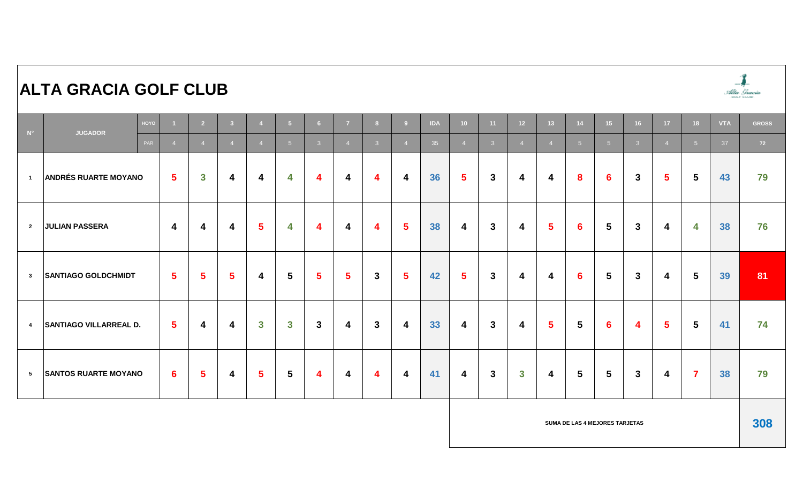| $\mathsf{N}^\circ$ | <b>JUGADOR</b>                | HOYO |                 | $\overline{2}$ | $-3$           | $\overline{4}$          | $-5$            | 6 <sup>1</sup>          | $\overline{7}$ | 8 <sup>1</sup> | -9                      | <b>IDA</b> | 10 <sup>°</sup> | 11             | 12 <sup>7</sup> | 13 <sup>°</sup> | 14              | 15 <sub>1</sub> | 16             | 17 <sup>2</sup>         | 18              | <b>VTA</b> | <b>GROSS</b> |
|--------------------|-------------------------------|------|-----------------|----------------|----------------|-------------------------|-----------------|-------------------------|----------------|----------------|-------------------------|------------|-----------------|----------------|-----------------|-----------------|-----------------|-----------------|----------------|-------------------------|-----------------|------------|--------------|
|                    |                               | PAR  | $\overline{4}$  | $\overline{4}$ | $\overline{4}$ | $\overline{4}$          | 5 <sup>5</sup>  | 3 <sup>1</sup>          | $\overline{4}$ | 3 <sup>°</sup> |                         | 35         | $\overline{4}$  | 3 <sup>1</sup> | $\overline{4}$  | $\overline{4}$  | $-5$            | 5 <sup>5</sup>  | 3 <sup>1</sup> | $\overline{4}$          | 5 <sup>1</sup>  | 37         | 72           |
| $\overline{1}$     | <b>ANDRÉS RUARTE MOYANO</b>   |      | $5\phantom{.0}$ | $\mathbf{3}$   | 4              | 4                       | 4               | $\overline{\mathbf{4}}$ | 4              | 4              | $\overline{\mathbf{4}}$ | 36         | $5\phantom{1}$  | $\mathbf{3}$   | 4               | 4               | 8               | $6 \,$          | $3\phantom{a}$ | $\overline{\mathbf{5}}$ | $5\phantom{.0}$ | 43         | 79           |
| $\overline{2}$     | <b>JULIAN PASSERA</b>         |      | 4               | 4              | 4              | $5\phantom{1}$          | 4               | 4                       | 4              | 4              | $5\phantom{1}$          | 38         | 4               | $\mathbf{3}$   | 4               | $5\phantom{.0}$ | $6\phantom{1}6$ | $\sqrt{5}$      | $\mathbf{3}$   | 4                       | 4               | 38         | 76           |
| $\mathbf{3}$       | <b>SANTIAGO GOLDCHMIDT</b>    |      | $5^{\circ}$     | $\sqrt{5}$     | 5 <sup>5</sup> | 4                       | $5\phantom{1}$  | $5\phantom{.0}$         | $5\phantom{1}$ | $\mathbf{3}$   | $5\phantom{.0}$         | 42         | 5 <sup>5</sup>  | $\mathbf{3}$   | 4               | 4               | $6\phantom{1}6$ | $5\phantom{.0}$ | $3\phantom{a}$ | 4                       | $5\phantom{.0}$ | 39         | 81           |
| $\overline{4}$     | <b>SANTIAGO VILLARREAL D.</b> |      | $5^{\circ}$     | 4              | 4              | $\mathbf{3}$            | $\mathbf{3}$    | 3 <sup>1</sup>          | 4              | $\mathbf{3}$   | 4                       | 33         | 4               | $\mathbf{3}$   | 4               | $5\phantom{.0}$ | $5\phantom{1}$  | $6\phantom{1}6$ | 4              | $5\phantom{1}$          | $5\phantom{.0}$ | 41         | 74           |
| $5\overline{ }$    | <b>SANTOS RUARTE MOYANO</b>   |      | $6^{\circ}$     | $5\phantom{1}$ | 4              | $\overline{\mathbf{5}}$ | $5\phantom{.0}$ | $\overline{\mathbf{4}}$ | 4              | 4              | 4                       | 41         | 4               | $\mathbf{3}$   | $\mathbf{3}$    | 4               | $5\phantom{1}$  | $5\phantom{.0}$ | 3 <sup>1</sup> | 4                       | $\overline{7}$  | 38         | 79           |

#### **SUMA DE LAS 4 MEJORES TARJETAS 308**

 $\overline{1}$ Albia Graeciae<br>anno anno

### **ALTA GRACIA GOLF CLUB**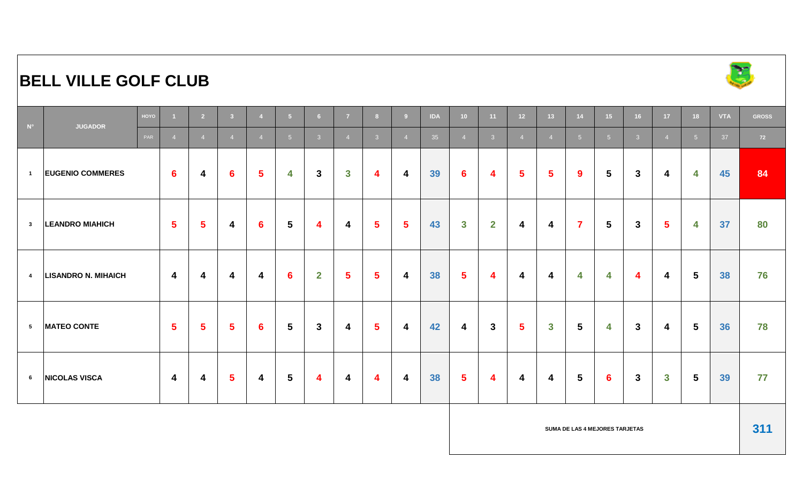# **BELL VILLE GOLF CLUB**



| $\blacksquare$  | <b>JUGADOR</b>             | HOYO |                 | 2 <sup>7</sup> | 3 <sup>2</sup>          |                 | 5 <sub>5</sub>          | 6 <sup>1</sup> | $\overline{7}$          | 8              | 9 <sup>°</sup>  | <b>IDA</b> | 10                      | 11             | 12 <sup>°</sup> | 13 <sup>°</sup> | 14                      | 15              | 16             | 17 <sup>2</sup> | 18             | <b>VTA</b> | <b>GROSS</b> |
|-----------------|----------------------------|------|-----------------|----------------|-------------------------|-----------------|-------------------------|----------------|-------------------------|----------------|-----------------|------------|-------------------------|----------------|-----------------|-----------------|-------------------------|-----------------|----------------|-----------------|----------------|------------|--------------|
|                 |                            | PAR  | $\overline{4}$  | $\overline{4}$ | $\overline{4}$          | $\overline{4}$  | $-5$                    | 3 <sup>1</sup> | $\overline{4}$          | 3 <sup>°</sup> | $\overline{4}$  | 35         | $\overline{4}$          | 3 <sup>°</sup> | $\overline{4}$  | $\overline{4}$  | 5 <sup>5</sup>          | 5 <sup>5</sup>  | 3 <sup>°</sup> | $\overline{4}$  | 5 <sup>5</sup> | 37         | 72           |
| $\overline{1}$  | <b>EUGENIO COMMERES</b>    |      | $6\phantom{1}6$ | 4              | $6\phantom{1}6$         | $5\phantom{.0}$ | 4                       | $\mathbf{3}$   | $\mathbf{3}$            | 4              | 4               | 39         | $6\phantom{1}$          | 4              | $5\phantom{.0}$ | $5\phantom{a}$  | $\boldsymbol{9}$        | 5               | $\mathbf{3}$   | 4               | 4              | 45         | 84           |
| $\mathbf{3}$    | <b>LEANDRO MIAHICH</b>     |      | $\sqrt{5}$      | $5\phantom{1}$ | 4                       | $6\phantom{1}6$ | $\overline{\mathbf{5}}$ | 4              | 4                       | $5\phantom{1}$ | $5\phantom{.0}$ | 43         | $\mathbf{3}$            | $\overline{2}$ | 4               | 4               | $\overline{\mathbf{7}}$ | $5\phantom{.0}$ | $\mathbf{3}$   | $5\phantom{1}$  | 4              | 37         | 80           |
| $\overline{4}$  | <b>LISANDRO N. MIHAICH</b> |      | 4               | 4              | 4                       | 4               | $6\phantom{1}6$         | $\mathbf{2}$   | $5\phantom{1}$          | $5\phantom{1}$ | 4               | 38         | $5\phantom{.0}$         | 4              | 4               | 4               | 4                       | 4               | 4              | 4               | $5\phantom{1}$ | 38         | 76           |
| $5\phantom{.0}$ | <b>MATEO CONTE</b>         |      | $5\phantom{1}$  | $5\phantom{1}$ | $5\phantom{a}$          | $6\phantom{1}$  | $\overline{\mathbf{5}}$ | $\mathbf{3}$   | $\overline{\mathbf{4}}$ | $5\phantom{a}$ | 4               | 42         | 4                       | $\mathbf{3}$   | $5\phantom{1}$  | $\mathbf{3}$    | $5\phantom{.0}$         | 4               | $\mathbf{3}$   | 4               | $5\phantom{1}$ | 36         | 78           |
| $6\phantom{.0}$ | <b>NICOLAS VISCA</b>       |      | 4               | 4              | $\overline{\mathbf{5}}$ | 4               | $\overline{\mathbf{5}}$ | 4              | 4                       | 4              | 4               | 38         | $\overline{\mathbf{5}}$ | 4              | 4               | 4               | $5\phantom{.0}$         | 6               | $\mathbf{3}$   | $\mathbf{3}$    | $5\phantom{1}$ | 39         | 77           |

**SUMA DE LAS 4 MEJORES TARJETAS**

**311**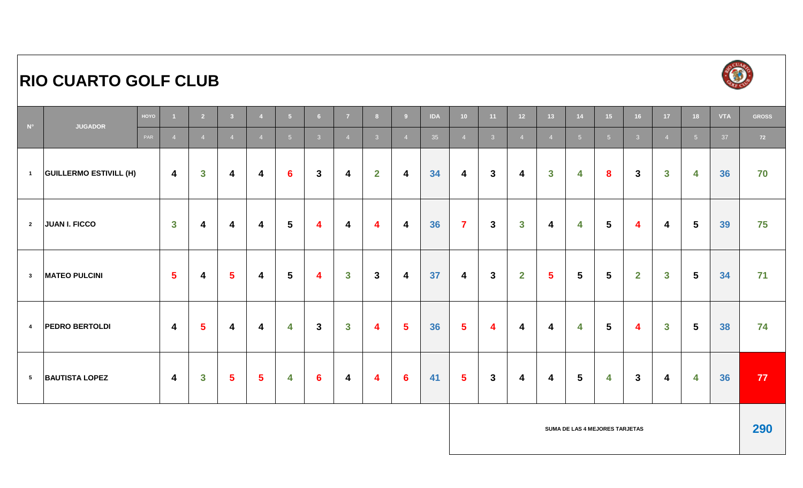# **RIO CUARTO GOLF CLUB**



| $\blacksquare$ $N^{\circ}$ | <b>JUGADOR</b>                | HOYO |                         | $\overline{2}$          | 3 <sup>1</sup> |                         | 5 <sup>1</sup>  | 6              | $\overline{7}$          | 8 <sup>1</sup> | 9               | <b>IDA</b> | 10 <sub>1</sub>         | 11 <sub>1</sub>         | 12 <sub>2</sub>         | 13 <sup>°</sup> | 14                      | 15 <sub>1</sub> | 16                      | 17 <sup>°</sup> | 18              | <b>VTA</b> | <b>GROSS</b> |
|----------------------------|-------------------------------|------|-------------------------|-------------------------|----------------|-------------------------|-----------------|----------------|-------------------------|----------------|-----------------|------------|-------------------------|-------------------------|-------------------------|-----------------|-------------------------|-----------------|-------------------------|-----------------|-----------------|------------|--------------|
|                            |                               | PAR  | $\overline{4}$          | $\overline{4}$          | $\overline{4}$ | $\overline{4}$          | 5 <sup>5</sup>  | 3 <sup>°</sup> | $\overline{4}$          | 3 <sup>°</sup> | $\overline{4}$  | 35         | $\overline{4}$          | 3 <sup>°</sup>          | $\overline{4}$          | $\overline{4}$  | $-5$                    | 5 <sup>5</sup>  | 3 <sup>°</sup>          | $\overline{4}$  | 5 <sup>1</sup>  | 37         | 72           |
| $\blacksquare$             | <b>GUILLERMO ESTIVILL (H)</b> |      | $\overline{\mathbf{4}}$ | $\overline{\mathbf{3}}$ | 4              | 4                       | $6\phantom{1}6$ | $\mathbf{3}$   | 4                       | $\overline{2}$ | 4               | 34         | 4                       | $\mathbf{3}$            | 4                       | $\mathbf{3}$    | 4                       | 8               | 3 <sup>1</sup>          | $\mathbf{3}$    | 4               | 36         | 70           |
| $\overline{\mathbf{2}}$    | <b>JUAN I. FICCO</b>          |      | $\mathbf{3}$            | 4                       | 4              | 4                       | $\sqrt{5}$      | 4              | $\overline{\mathbf{4}}$ | 4              | 4               | 36         | $\overline{\mathbf{7}}$ | $\mathbf{3}$            | $\mathbf{3}$            | 4               | 4                       | $5\phantom{1}$  | 4                       | 4               | $5\phantom{.0}$ | 39         | 75           |
| $\mathbf{3}$               | <b>MATEO PULCINI</b>          |      | $5\overline{5}$         | 4                       | $5\phantom{a}$ | 4                       | 5               | 4              | $\mathbf{3}$            | $\mathbf{3}$   | 4               | 37         | 4                       | $\mathbf{3}$            | $\overline{2}$          | 5 <sup>5</sup>  | $5\phantom{1}$          | $5\phantom{1}$  | $\overline{2}$          | $\mathbf{3}$    | $5\phantom{.0}$ | 34         | 71           |
| $\overline{4}$             | <b>PEDRO BERTOLDI</b>         |      | $\overline{\mathbf{4}}$ | $5\phantom{a}$          | 4              | 4                       | 4               | $\mathbf{3}$   | $\mathbf{3}$            | 4              | $\sqrt{5}$      | 36         | $\overline{\mathbf{5}}$ | $\overline{\mathbf{4}}$ | $\overline{\mathbf{4}}$ | 4               | 4                       | $5\phantom{1}$  | $\overline{\mathbf{4}}$ | $\mathbf{3}$    | $5\phantom{.0}$ | 38         | 74           |
| $5\overline{5}$            | <b>BAUTISTA LOPEZ</b>         |      | $\overline{4}$          | $\overline{\mathbf{3}}$ | $5\phantom{a}$ | $\overline{\mathbf{5}}$ | 4               | 6              | $\overline{\mathbf{4}}$ | 4              | $6\phantom{1}6$ | 41         | $5\phantom{a}$          | $\mathbf{3}$            | 4                       | 4               | $\overline{\mathbf{5}}$ | 4               | $\mathbf{3}$            | 4               | 4               | 36         | 77           |

**SUMA DE LAS 4 MEJORES TARJETAS**

**290**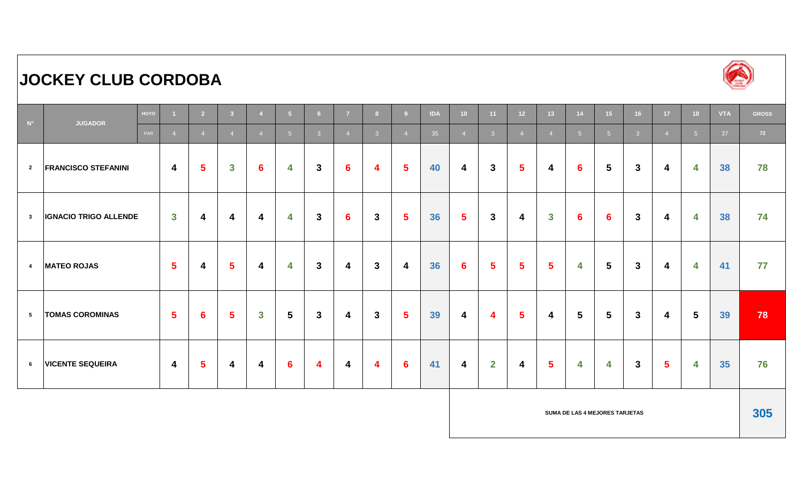# **JOCKEY CLUB CORDOBA**



| $\blacksquare$ $N^\circ$ | <b>JUGADOR</b>               | HOYO |                         | $\overline{2}$          | 3 <sup>7</sup>          |                         | $-5$            | 6 <sup>1</sup> | $\overline{7}$          | 8 <sup>1</sup> | 9               | <b>IDA</b> | 10 <sup>°</sup>  | 11             | 12 <sup>2</sup>         | 13 <sup>°</sup> | 14              | 15 <sup>2</sup> | 16             | 17 <sup>2</sup> | 18                      | <b>VTA</b> | <b>GROSS</b> |
|--------------------------|------------------------------|------|-------------------------|-------------------------|-------------------------|-------------------------|-----------------|----------------|-------------------------|----------------|-----------------|------------|------------------|----------------|-------------------------|-----------------|-----------------|-----------------|----------------|-----------------|-------------------------|------------|--------------|
|                          |                              | PAR  | $\overline{4}$          | $\overline{4}$          | $\overline{4}$          | $\overline{4}$          | 5 <sup>5</sup>  | 3 <sup>°</sup> | $\overline{4}$          | 3 <sup>°</sup> | $\overline{4}$  | 35         | $\overline{4}$   | 3 <sup>2</sup> | $\overline{4}$          | $\overline{4}$  | 5 <sup>5</sup>  | 5 <sup>5</sup>  | 3 <sup>°</sup> | $\overline{4}$  | 5 <sup>1</sup>          | 37         | 72           |
| $\overline{2}$           | <b>FRANCISCO STEFANINI</b>   |      | $\overline{\mathbf{4}}$ | $5\phantom{1}$          | $\mathbf{3}$            | $6\phantom{1}$          | 4               | $\mathbf{3}$   | $6\phantom{1}6$         | 4              | $5\phantom{.0}$ | 40         | 4                | $\mathbf{3}$   | $5\phantom{1}$          | 4               | $6\phantom{1}6$ | $5\phantom{1}$  | $\mathbf{3}$   | 4               | 4                       | 38         | 78           |
| $\mathbf{3}$             | <b>IGNACIO TRIGO ALLENDE</b> |      | $\mathbf{3}$            | $\overline{\mathbf{4}}$ | $\overline{\mathbf{4}}$ | $\overline{\mathbf{4}}$ | 4               | $\mathbf{3}$   | $6\phantom{1}$          | $\mathbf{3}$   | $5\phantom{.0}$ | 36         | $\sqrt{5}$       | $\mathbf{3}$   | $\overline{\mathbf{4}}$ | $\mathbf{3}$    | $6 \,$          | 6               | $\mathbf{3}$   | 4               | 4                       | 38         | 74           |
| $\overline{\mathbf{4}}$  | <b>MATEO ROJAS</b>           |      | $5\phantom{.0}$         | 4                       | $5\phantom{1}$          | $\overline{\mathbf{4}}$ | 4               | $\mathbf{3}$   | 4                       | $\mathbf{3}$   | 4               | 36         | $6\phantom{1}6$  | 5 <sup>5</sup> | $\sqrt{5}$              | $5\phantom{1}$  | 4               | $5\phantom{.0}$ | $\mathbf{3}$   | 4               | $\overline{\mathbf{4}}$ | 41         | 77           |
| 5                        | <b>TOMAS COROMINAS</b>       |      | $5\phantom{1}$          | $6\phantom{1}6$         | 5 <sup>5</sup>          | $\mathbf{3}$            | $5\phantom{1}$  | $\mathbf{3}$   | 4                       | $\mathbf{3}$   | $5\phantom{1}$  | 39         | $\boldsymbol{4}$ | 4              | $\sqrt{5}$              | 4               | $5\phantom{.0}$ | $5\phantom{1}$  | $\mathbf{3}$   | 4               | $5\phantom{.0}$         | 39         | 78           |
| 6                        | <b>VICENTE SEQUEIRA</b>      |      | $\overline{4}$          | $\sqrt{5}$              | 4                       | $\overline{\mathbf{4}}$ | $6\phantom{1}6$ | 4              | $\overline{\mathbf{4}}$ | 4              | $6\phantom{1}6$ | 41         | $\boldsymbol{4}$ | $\mathbf{2}$   | 4                       | 5 <sup>5</sup>  | 4               | 4               | $\mathbf{3}$   | $5\phantom{1}$  | 4                       | 35         | 76           |

**SUMA DE LAS 4 MEJORES TARJETAS 305**